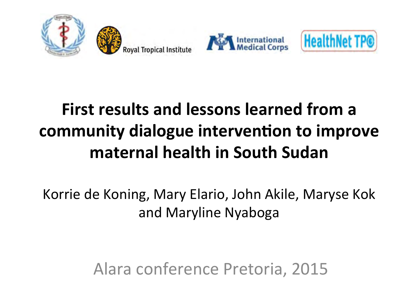







#### **First results and lessons learned from a community dialogue intervention to improve maternal health in South Sudan**

Korrie de Koning, Mary Elario, John Akile, Maryse Kok and Maryline Nyaboga

Alara conference Pretoria, 2015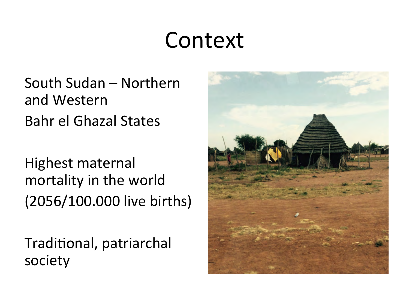#### Context

South Sudan – Northern and Western Bahr el Ghazal States 

Highest maternal mortality in the world (2056/100.000 live births)

Traditional, patriarchal society 

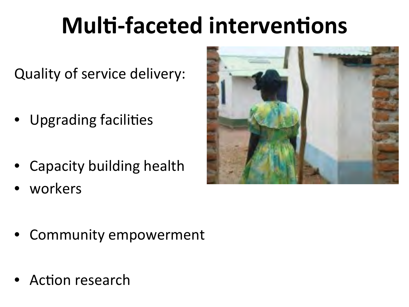# **Multi-faceted interventions**

Quality of service delivery:

- Upgrading facilities
- Capacity building health
- workers



- Community empowerment
- Action research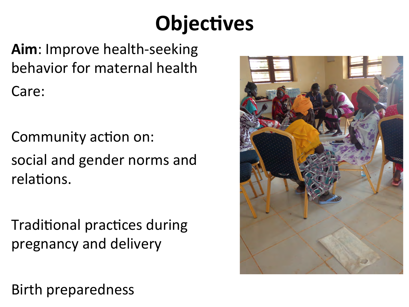### **Objectives**

Aim: Improve health-seeking behavior for maternal health Care:

Community action on: social and gender norms and relations.

**Traditional practices during** pregnancy and delivery

**Birth preparedness** 

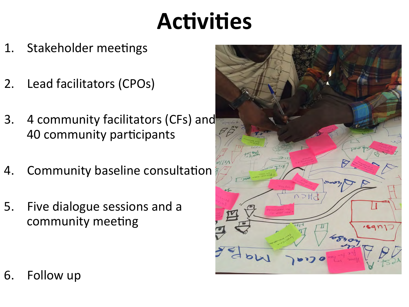## Activities

- 1. Stakeholder meetings
- 2. Lead facilitators (CPOs)
- 3. 4 community facilitators (CFs) and 40 community participants
- 4. Community baseline consultation
- 5. Five dialogue sessions and a community meeting



6. Follow up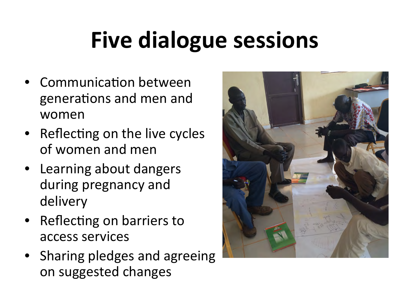# **Five dialogue sessions**

- Communication between generations and men and women
- Reflecting on the live cycles of women and men
- Learning about dangers during pregnancy and delivery
- Reflecting on barriers to access services
- Sharing pledges and agreeing on suggested changes

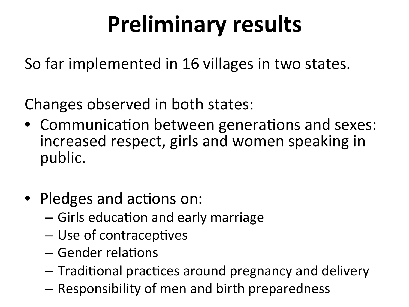# **Preliminary results**

So far implemented in 16 villages in two states.

Changes observed in both states:

- Communication between generations and sexes: increased respect, girls and women speaking in public.
- Pledges and actions on:
	- $-$  Girls education and early marriage
	- Use of contraceptives
	- $-$  Gender relations
	- $-$  Traditional practices around pregnancy and delivery
	- $-$  Responsibility of men and birth preparedness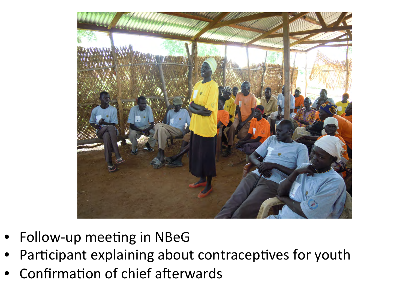

- Follow-up meeting in NBeG  $\bullet$
- Participant explaining about contraceptives for youth
- Confirmation of chief afterwards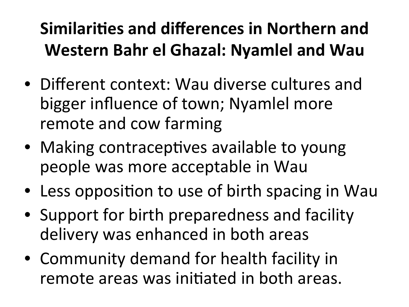#### **Similarities and differences in Northern and** Western Bahr el Ghazal: Nyamlel and Wau

- Different context: Wau diverse cultures and bigger influence of town; Nyamlel more remote and cow farming
- Making contraceptives available to young people was more acceptable in Wau
- Less opposition to use of birth spacing in Wau
- Support for birth preparedness and facility delivery was enhanced in both areas
- Community demand for health facility in remote areas was initiated in both areas.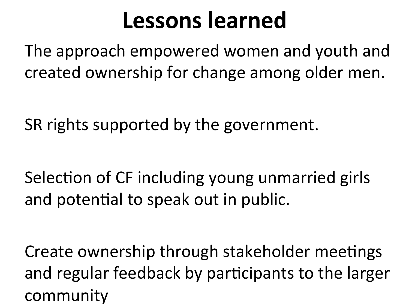### Lessons learned

The approach empowered women and youth and created ownership for change among older men.

SR rights supported by the government.

Selection of CF including young unmarried girls and potential to speak out in public.

Create ownership through stakeholder meetings and regular feedback by participants to the larger community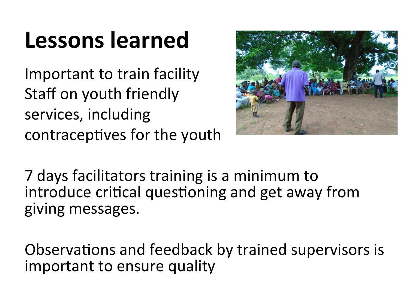## Lessons learned

Important to train facility Staff on youth friendly services, including contraceptives for the youth



7 days facilitators training is a minimum to introduce critical questioning and get away from giving messages.

Observations and feedback by trained supervisors is important to ensure quality